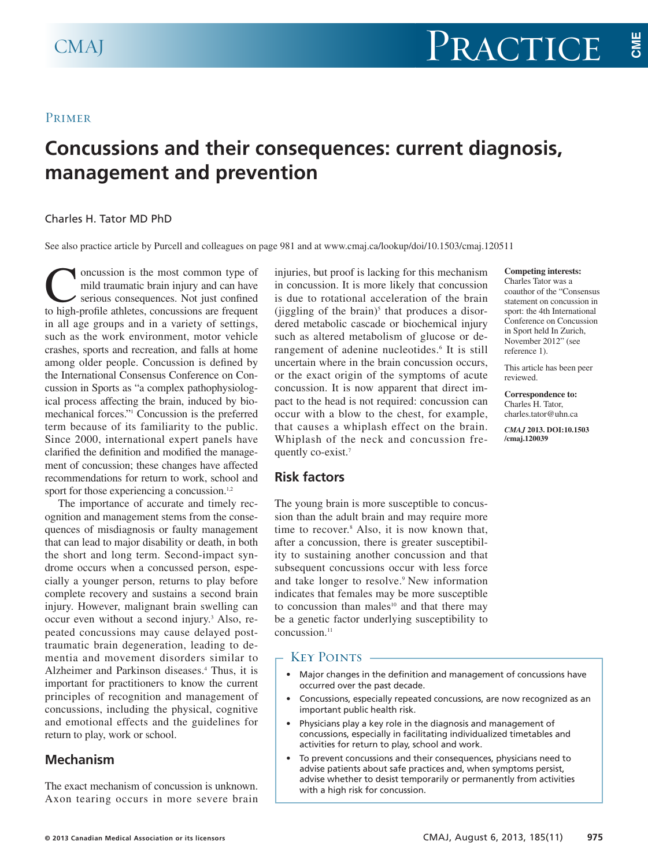$\mathbf{\mathbf{\mathbf{C}}}$ ≅ **E**

# Primer

# **Concussions and their consequences: current diagnosis, management and prevention**

# Charles H. Tator MD PhD

See also practice article by Purcell and colleagues on page 981 and at www.cmaj.ca/lookup/doi/10.1503/cmaj.120511

Concussion is the most common type of<br>mild traumatic brain injury and can have<br>serious consequences. Not just confined<br>to high-profile athletes concussions are frequent mild traumatic brain injury and can have serious consequences. Not just confined to high-profile athletes, concussions are frequent in all age groups and in a variety of settings, such as the work environment, motor vehicle crashes, sports and recreation, and falls at home among older people. Concussion is defined by the International Consensus Conference on Concussion in Sports as "a complex pathophysiological process affecting the brain, induced by biomechanical forces."1 Concussion is the preferred term because of its familiarity to the public. Since 2000, international expert panels have clarified the definition and modified the management of concussion; these changes have affected recommendations for return to work, school and sport for those experiencing a concussion.<sup>1,2</sup>

The importance of accurate and timely recognition and management stems from the consequences of misdiagnosis or faulty management that can lead to major disability or death, in both the short and long term. Second-impact syndrome occurs when a concussed person, especially a younger person, returns to play before complete recovery and sustains a second brain injury. However, malignant brain swelling can occur even without a second injury. <sup>3</sup> Also, repeated concussions may cause delayed posttraumatic brain degeneration, leading to dementia and movement disorders similar to Alzheimer and Parkinson diseases. <sup>4</sup> Thus, it is important for practitioners to know the current principles of recognition and management of concussions, including the physical, cognitive and emotional effects and the guidelines for return to play, work or school.

# **Mechanism**

The exact mechanism of concussion is unknown. Axon tearing occurs in more severe brain injuries, but proof is lacking for this mechanism in concussion. It is more likely that concussion is due to rotational acceleration of the brain  $(iigging of the brain)<sup>5</sup> that produces a disorder$ dered metabolic cascade or biochemical injury such as altered metabolism of glucose or derangement of adenine nucleotides. <sup>6</sup> It is still uncertain where in the brain concussion occurs, or the exact origin of the symptoms of acute concussion. It is now apparent that direct impact to the head is not required: concussion can occur with a blow to the chest, for example, that causes a whiplash effect on the brain. Whiplash of the neck and concussion frequently co-exist. 7

# **Risk factors**

The young brain is more susceptible to concussion than the adult brain and may require more time to recover. <sup>8</sup> Also, it is now known that, after a concussion, there is greater susceptibility to sustaining another concussion and that subsequent concussions occur with less force and take longer to resolve. <sup>9</sup> New information indicates that females may be more susceptible to concussion than males<sup>10</sup> and that there may be a genetic factor underlying susceptibility to concussion. 11

# Key Points

- Major changes in the definition and management of concussions have occurred over the past decade.
- Concussions, especially repeated concussions, are now recognized as an important public health risk.
- Physicians play a key role in the diagnosis and management of concussions, especially in facilitating individualized timetables and activities for return to play, school and work.
- To prevent concussions and their consequences, physicians need to advise patients about safe practices and, when symptoms persist, advise whether to desist temporarily or permanently from activities with a high risk for concussion.

#### **Competing interests:**

Charles Tator was a coauthor of the "Consensus statement on concussion in sport: the 4th International Conference on Concussion in Sport held In Zurich, November 2012" (see reference 1).

This article has been peer reviewed.

**Correspondence to:** Charles H. Tator, charles.tator@uhn.ca

*CMAJ* **2013. DOI:10.1503 /cmaj.120039**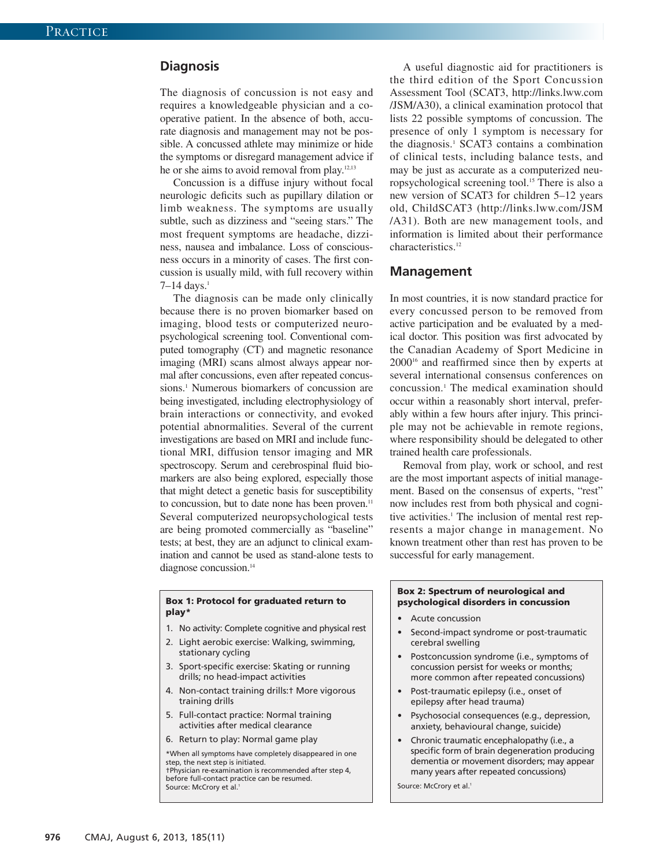# **Diagnosis**

The diagnosis of concussion is not easy and requires a knowledgeable physician and a cooperative patient. In the absence of both, accurate diagnosis and management may not be possible. A concussed athlete may minimize or hide the symptoms or disregard management advice if he or she aims to avoid removal from play.<sup>12,13</sup>

Concussion is a diffuse injury without focal neurologic deficits such as pupillary dilation or limb weakness. The symptoms are usually subtle, such as dizziness and "seeing stars." The most frequent symptoms are headache, dizziness, nausea and imbalance. Loss of consciousness occurs in a minority of cases. The first concussion is usually mild, with full recovery within 7–14 days. 1

The diagnosis can be made only clinically because there is no proven biomarker based on imaging, blood tests or computerized neuropsychological screening tool. Conventional computed tomography (CT) and magnetic resonance imaging (MRI) scans almost always appear normal after concussions, even after repeated concussions. <sup>1</sup> Numerous biomarkers of concussion are being investigated, including electrophysiology of brain interactions or connectivity, and evoked potential abnormalities. Several of the current investigations are based on MRI and include functional MRI, diffusion tensor imaging and MR spectroscopy. Serum and cerebrospinal fluid biomarkers are also being explored, especially those that might detect a genetic basis for susceptibility to concussion, but to date none has been proven.<sup>11</sup> Several computerized neuropsychological tests are being promoted commercially as "baseline" tests; at best, they are an adjunct to clinical examination and cannot be used as stand-alone tests to diagnose concussion. 14

#### **Box 1: Protocol for graduated return to play\***

- 1. No activity: Complete cognitive and physical rest
- 2. Light aerobic exercise: Walking, swimming, stationary cycling
- 3. Sport-specific exercise: Skating or running drills; no head-impact activities
- 4. Non-contact training drills:† More vigorous training drills
- 5. Full-contact practice: Normal training activities after medical clearance
- 6. Return to play: Normal game play

\*When all symptoms have completely disappeared in one step, the next step is initiated. †Physician re-examination is recommended after step 4, before full-contact practice can be resumed. Source: McCrory et al. 1

A useful diagnostic aid for practitioners is the third edition of the Sport Concussion Assessment Tool (SCAT3, http://links.lww.com /JSM/A30), a clinical examination protocol that lists 22 possible symptoms of concussion. The presence of only 1 symptom is necessary for the diagnosis. <sup>1</sup> SCAT3 contains a combination of clinical tests, including balance tests, and may be just as accurate as a computerized neuropsychological screening tool. <sup>15</sup> There is also a new version of SCAT3 for children 5–12 years old, ChildSCAT3 (http://links.lww.com/JSM /A31). Both are new management tools, and information is limited about their performance characteristics. 12

### **Management**

In most countries, it is now standard practice for every concussed person to be removed from active participation and be evaluated by a medical doctor. This position was first advocated by the Canadian Academy of Sport Medicine in 200016 and reaffirmed since then by experts at several international consensus conferences on concussion. <sup>1</sup> The medical examination should occur within a reasonably short interval, preferably within a few hours after injury. This principle may not be achievable in remote regions, where responsibility should be delegated to other trained health care professionals.

Removal from play, work or school, and rest are the most important aspects of initial management. Based on the consensus of experts, "rest" now includes rest from both physical and cognitive activities. <sup>1</sup> The inclusion of mental rest represents a major change in management. No known treatment other than rest has proven to be successful for early management.

#### **Box 2: Spectrum of neurological and psychological disorders in concussion**

- Acute concussion
- Second-impact syndrome or post-traumatic cerebral swelling
- Postconcussion syndrome (i.e., symptoms of concussion persist for weeks or months; more common after repeated concussions)
- Post-traumatic epilepsy (i.e., onset of epilepsy after head trauma)
- Psychosocial consequences (e.g., depression, anxiety, behavioural change, suicide)
- Chronic traumatic encephalopathy (i.e., a specific form of brain degeneration producing dementia or movement disorders; may appear many years after repeated concussions)

Source: McCrory et al. 1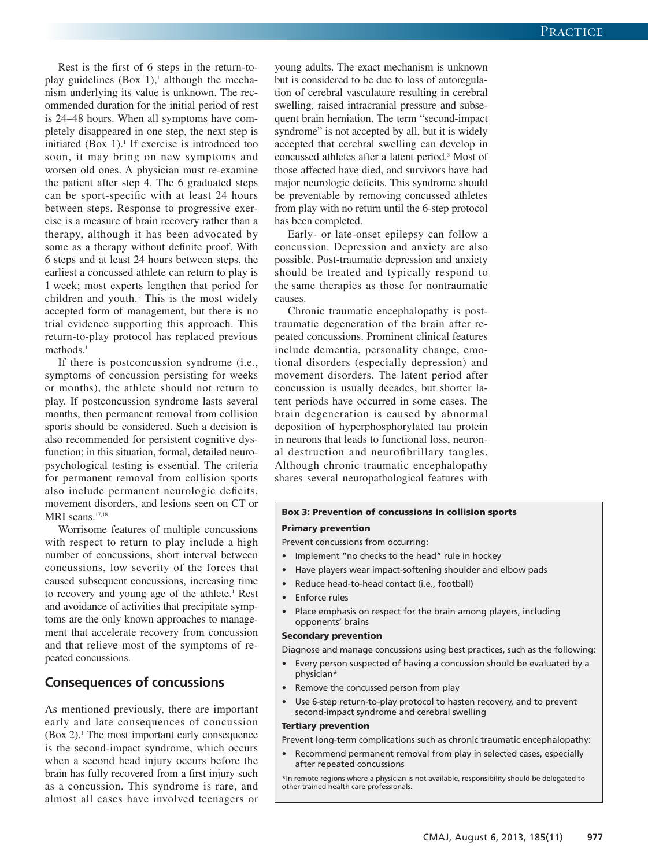Rest is the first of 6 steps in the return-toplay guidelines (Box 1), <sup>1</sup> although the mechanism underlying its value is unknown. The recommended duration for the initial period of rest is 24–48 hours. When all symptoms have completely disappeared in one step, the next step is initiated (Box 1). <sup>1</sup> If exercise is introduced too soon, it may bring on new symptoms and worsen old ones. A physician must re-examine the patient after step 4. The 6 graduated steps can be sport-specific with at least 24 hours between steps. Response to progressive exercise is a measure of brain recovery rather than a therapy, although it has been advocated by some as a therapy without definite proof. With 6 steps and at least 24 hours between steps, the earliest a concussed athlete can return to play is 1 week; most experts lengthen that period for children and youth. <sup>1</sup> This is the most widely accepted form of management, but there is no trial evidence supporting this approach. This return-to-play protocol has replaced previous methods. 1

If there is postconcussion syndrome (i.e., symptoms of concussion persisting for weeks or months), the athlete should not return to play. If postconcussion syndrome lasts several months, then permanent removal from collision sports should be considered. Such a decision is also recommended for persistent cognitive dysfunction; in this situation, formal, detailed neuropsychological testing is essential. The criteria for permanent removal from collision sports also include permanent neurologic deficits, movement disorders, and lesions seen on CT or MRI scans. 17,18

Worrisome features of multiple concussions with respect to return to play include a high number of concussions, short interval between concussions, low severity of the forces that caused subsequent concussions, increasing time to recovery and young age of the athlete. <sup>1</sup> Rest and avoidance of activities that precipitate symptoms are the only known approaches to management that accelerate recovery from concussion and that relieve most of the symptoms of repeated concussions.

# **Consequences of concussions**

As mentioned previously, there are important early and late consequences of concussion (Box 2). <sup>1</sup> The most important early consequence is the second-impact syndrome, which occurs when a second head injury occurs before the brain has fully recovered from a first injury such as a concussion. This syndrome is rare, and almost all cases have involved teenagers or young adults. The exact mechanism is unknown but is considered to be due to loss of autoregulation of cerebral vasculature resulting in cerebral swelling, raised intracranial pressure and subsequent brain herniation. The term "second-impact syndrome" is not accepted by all, but it is widely accepted that cerebral swelling can develop in concussed athletes after a latent period. <sup>3</sup> Most of those affected have died, and survivors have had major neurologic deficits. This syndrome should be preventable by removing concussed athletes from play with no return until the 6-step protocol has been completed.

Early- or late-onset epilepsy can follow a concussion. Depression and anxiety are also possible. Post-traumatic depression and anxiety should be treated and typically respond to the same therapies as those for nontraumatic causes.

Chronic traumatic encephalopathy is posttraumatic degeneration of the brain after repeated concussions. Prominent clinical features include dementia, personality change, emotional disorders (especially depression) and movement disorders. The latent period after concussion is usually decades, but shorter latent periods have occurred in some cases. The brain degeneration is caused by abnormal deposition of hyperphosphorylated tau protein in neurons that leads to functional loss, neuronal destruction and neurofibrillary tangles. Although chronic traumatic encephalopathy shares several neuropathological features with

### **Box 3: Prevention of concussions in collision sports**

#### **Primary prevention**

Prevent concussions from occurring:

- Implement "no checks to the head" rule in hockey
- Have players wear impact-softening shoulder and elbow pads
- Reduce head-to-head contact (i.e., football)
- Enforce rules
- Place emphasis on respect for the brain among players, including opponents' brains

#### **Secondary prevention**

Diagnose and manage concussions using best practices, such as the following:

- Every person suspected of having a concussion should be evaluated by a physician\*
- Remove the concussed person from play
	- Use 6-step return-to-play protocol to hasten recovery, and to prevent second-impact syndrome and cerebral swelling

#### **Tertiary prevention**

Prevent long-term complications such as chronic traumatic encephalopathy:

• Recommend permanent removal from play in selected cases, especially after repeated concussions

\*In remote regions where a physician is not available, responsibility should be delegated to other trained health care professionals.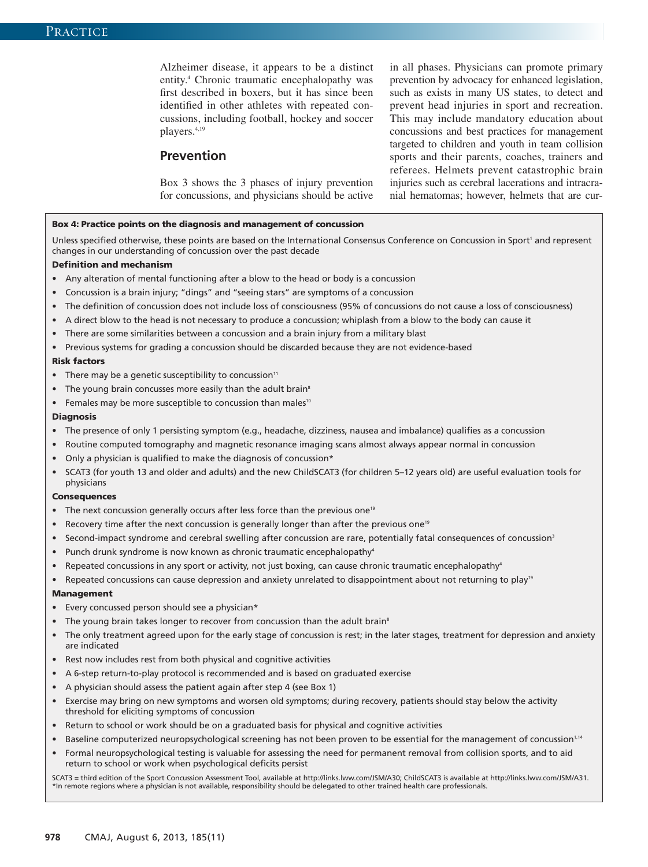Alzheimer disease, it appears to be a distinct entity. <sup>4</sup> Chronic traumatic encephalopathy was first described in boxers, but it has since been identified in other athletes with repeated concussions, including football, hockey and soccer players. 4,19

# **Prevention**

Box 3 shows the 3 phases of injury prevention for concussions, and physicians should be active in all phases. Physicians can promote primary prevention by advocacy for enhanced legislation, such as exists in many US states, to detect and prevent head injuries in sport and recreation. This may include mandatory education about concussions and best practices for management targeted to children and youth in team collision sports and their parents, coaches, trainers and referees. Helmets prevent catastrophic brain injuries such as cerebral lacerations and intracranial hematomas; however, helmets that are cur-

#### **Box 4: Practice points on the diagnosis and management of concussion**

Unless specified otherwise, these points are based on the International Consensus Conference on Concussion in Sport' and represent changes in our understanding of concussion over the past decade

### **Definition and mechanism**

- Any alteration of mental functioning after a blow to the head or body is a concussion
- Concussion is a brain injury; "dings" and "seeing stars" are symptoms of a concussion
- The definition of concussion does not include loss of consciousness (95% of concussions do not cause a loss of consciousness)
- A direct blow to the head is not necessary to produce a concussion; whiplash from a blow to the body can cause it
- There are some similarities between a concussion and a brain injury from a military blast
- Previous systems for grading a concussion should be discarded because they are not evidence-based

#### **Risk factors**

- There may be a genetic susceptibility to concussion<sup>11</sup>
- The young brain concusses more easily than the adult brain<sup>8</sup>
- Females may be more susceptible to concussion than males<sup>10</sup>

#### **Diagnosis**

- The presence of only 1 persisting symptom (e.g., headache, dizziness, nausea and imbalance) qualifies as a concussion
- Routine computed tomography and magnetic resonance imaging scans almost always appear normal in concussion
- Only a physician is qualified to make the diagnosis of concussion\*
- SCAT3 (for youth 13 and older and adults) and the new ChildSCAT3 (for children 5–12 years old) are useful evaluation tools for physicians

#### **Consequences**

- The next concussion generally occurs after less force than the previous one<sup>19</sup>
- Recovery time after the next concussion is generally longer than after the previous one<sup>19</sup>
- Second-impact syndrome and cerebral swelling after concussion are rare, potentially fatal consequences of concussion<sup>3</sup>
- Punch drunk syndrome is now known as chronic traumatic encephalopathy<sup>4</sup>
- Repeated concussions in any sport or activity, not just boxing, can cause chronic traumatic encephalopathy<sup>4</sup>
- Repeated concussions can cause depression and anxiety unrelated to disappointment about not returning to play<sup>19</sup>

#### **Management**

- Every concussed person should see a physician\*
- The young brain takes longer to recover from concussion than the adult brain<sup>8</sup>
- The only treatment agreed upon for the early stage of concussion is rest; in the later stages, treatment for depression and anxiety are indicated
- Rest now includes rest from both physical and cognitive activities
- A 6-step return-to-play protocol is recommended and is based on graduated exercise
- A physician should assess the patient again after step 4 (see Box 1)
- Exercise may bring on new symptoms and worsen old symptoms; during recovery, patients should stay below the activity threshold for eliciting symptoms of concussion
- Return to school or work should be on a graduated basis for physical and cognitive activities
- Baseline computerized neuropsychological screening has not been proven to be essential for the management of concussion<sup>1,14</sup>
- Formal neuropsychological testing is valuable for assessing the need for permanent removal from collision sports, and to aid return to school or work when psychological deficits persist

SCAT3 = third edition of the Sport Concussion Assessment Tool, available at http://links.lww.com/JSM/A30; ChildSCAT3 is available at http://links.lww.com/JSM/A31. \*In remote regions where a physician is not available, responsibility should be delegated to other trained health care professionals.